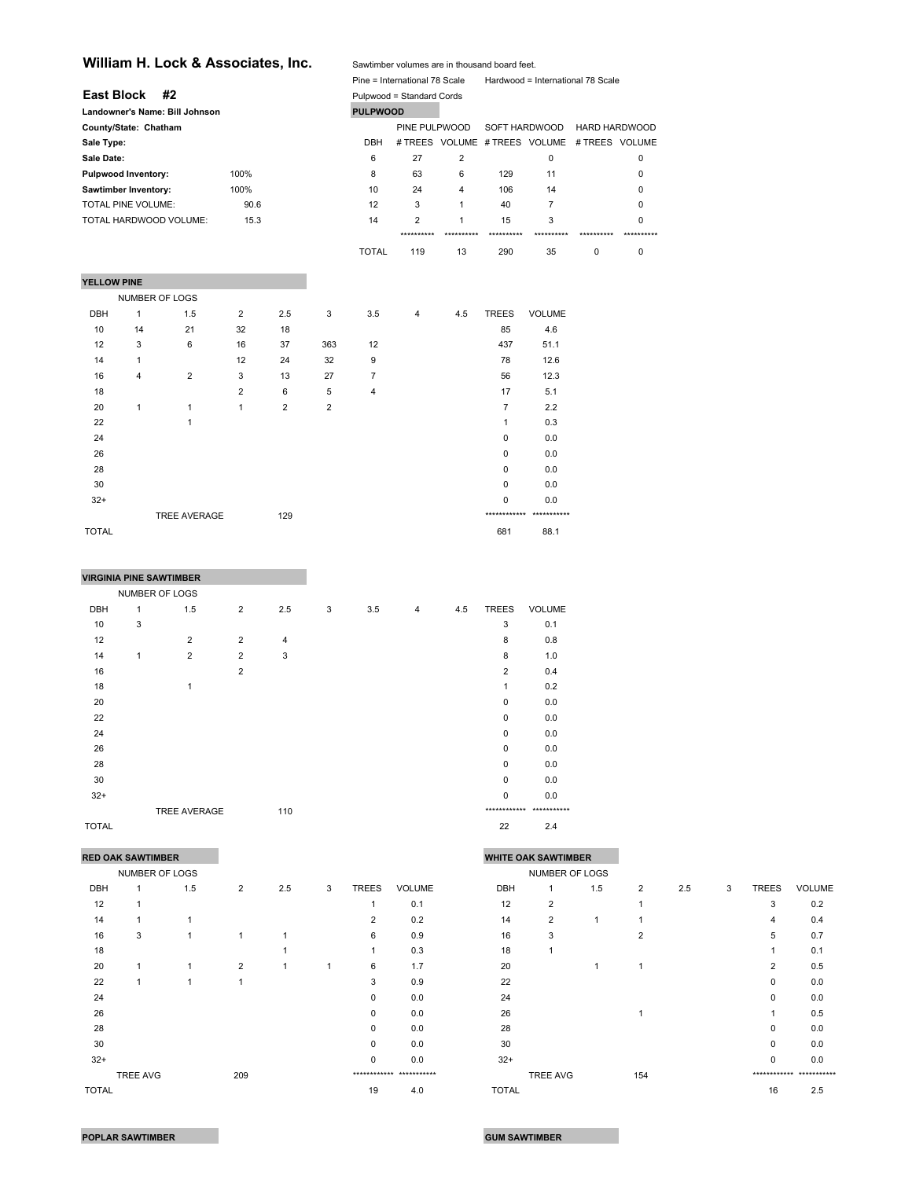|                            | William H. Lock & Associates, Inc. |                                |                | Sawtimber volumes are in thousand board feet. |                |                 |                               |                |                |                                              |                      |            |
|----------------------------|------------------------------------|--------------------------------|----------------|-----------------------------------------------|----------------|-----------------|-------------------------------|----------------|----------------|----------------------------------------------|----------------------|------------|
|                            |                                    |                                |                |                                               |                |                 | Pine = International 78 Scale |                |                | Hardwood = International 78 Scale            |                      |            |
| <b>East Block</b>          |                                    | #2                             |                |                                               |                |                 | Pulpwood = Standard Cords     |                |                |                                              |                      |            |
|                            |                                    | Landowner's Name: Bill Johnson |                |                                               |                | <b>PULPWOOD</b> |                               |                |                |                                              |                      |            |
| County/State: Chatham      |                                    |                                |                |                                               |                |                 | PINE PULPWOOD                 |                | SOFT HARDWOOD  |                                              | <b>HARD HARDWOOD</b> |            |
| Sale Type:                 |                                    |                                |                |                                               |                | <b>DBH</b>      |                               |                |                | # TREES VOLUME # TREES VOLUME # TREES VOLUME |                      |            |
| Sale Date:                 |                                    |                                |                |                                               |                | 6               | 27                            | $\overline{2}$ |                | $\mathbf 0$                                  |                      | 0          |
| <b>Pulpwood Inventory:</b> |                                    |                                | 100%           |                                               |                | 8               | 63                            | 6              | 129            | 11                                           |                      | 0          |
| Sawtimber Inventory:       |                                    |                                | 100%           |                                               |                | 10              | 24                            | 4              | 106            | 14                                           |                      | 0          |
| TOTAL PINE VOLUME:         |                                    |                                | 90.6           |                                               |                | 12              | 3                             | $\mathbf{1}$   | 40             | $\overline{7}$                               |                      | 0          |
|                            |                                    | TOTAL HARDWOOD VOLUME:         | 15.3           |                                               |                | 14              | 2                             | 1              | 15             | 3                                            |                      | 0          |
|                            |                                    |                                |                |                                               |                |                 | **********                    | **********     | **********     | ***********                                  | ***********          | ********** |
|                            |                                    |                                |                |                                               |                | <b>TOTAL</b>    | 119                           | 13             | 290            | 35                                           | 0                    | 0          |
|                            |                                    |                                |                |                                               |                |                 |                               |                |                |                                              |                      |            |
| YELLOW PINE                |                                    |                                |                |                                               |                |                 |                               |                |                |                                              |                      |            |
|                            | <b>NUMBER OF LOGS</b>              |                                |                |                                               |                |                 |                               |                |                |                                              |                      |            |
| <b>DBH</b>                 | 1                                  | 1.5                            | $\overline{2}$ | 2.5                                           | 3              | 3.5             | 4                             | 4.5            | <b>TREES</b>   | <b>VOLUME</b>                                |                      |            |
| 10                         | 14                                 | 21                             | 32             | 18                                            |                |                 |                               |                | 85             | 4.6                                          |                      |            |
| 12                         | 3                                  | 6                              | 16             | 37                                            | 363            | 12              |                               |                | 437            | 51.1                                         |                      |            |
| 14                         | $\mathbf{1}$                       |                                | 12             | 24                                            | 32             | 9               |                               |                | 78             | 12.6                                         |                      |            |
| 16                         | 4                                  | $\overline{2}$                 | 3              | 13                                            | 27             | $\overline{7}$  |                               |                | 56             | 12.3                                         |                      |            |
| 18                         |                                    |                                | $\overline{2}$ | 6                                             | 5              | 4               |                               |                | 17             | 5.1                                          |                      |            |
| 20                         | 1                                  | $\mathbf{1}$                   | 1              | $\overline{2}$                                | $\overline{2}$ |                 |                               |                | $\overline{7}$ | 2.2                                          |                      |            |
| 22                         |                                    | 1                              |                |                                               |                |                 |                               |                | $\mathbf{1}$   | 0.3                                          |                      |            |
| 24                         |                                    |                                |                |                                               |                |                 |                               |                | 0              | 0.0                                          |                      |            |
| 26                         |                                    |                                |                |                                               |                |                 |                               |                | $\Omega$       | 0.0                                          |                      |            |
| 28                         |                                    |                                |                |                                               |                |                 |                               |                | $\Omega$       | 0.0                                          |                      |            |
| 30                         |                                    |                                |                |                                               |                |                 |                               |                | 0              | 0.0                                          |                      |            |
| $32+$                      |                                    |                                |                |                                               |                |                 |                               |                | $\Omega$       | 0.0                                          |                      |            |
|                            |                                    | <b>TREE AVERAGE</b>            |                | 129                                           |                |                 |                               |                |                | ************* ***********                    |                      |            |

TOTAL 681 88.1

|            | <b>VIRGINIA PINE SAWTIMBER</b> |                |                |     |   |     |                |     |                          |               |
|------------|--------------------------------|----------------|----------------|-----|---|-----|----------------|-----|--------------------------|---------------|
|            | NUMBER OF LOGS                 |                |                |     |   |     |                |     |                          |               |
| <b>DBH</b> | 1                              | 1.5            | $\overline{2}$ | 2.5 | 3 | 3.5 | $\overline{4}$ | 4.5 | <b>TREES</b>             | <b>VOLUME</b> |
| 10         | 3                              |                |                |     |   |     |                |     | 3                        | 0.1           |
| 12         |                                | $\overline{2}$ | $\overline{2}$ | 4   |   |     |                |     | 8                        | 0.8           |
| 14         | $\mathbf{1}$                   | $\overline{2}$ | $\overline{2}$ | 3   |   |     |                |     | 8                        | 1.0           |
| 16         |                                |                | $\overline{2}$ |     |   |     |                |     | $\overline{2}$           | 0.4           |
| 18         |                                | 1              |                |     |   |     |                |     | 1                        | 0.2           |
| 20         |                                |                |                |     |   |     |                |     | 0                        | 0.0           |
| 22         |                                |                |                |     |   |     |                |     | $\mathbf 0$              | 0.0           |
| 24         |                                |                |                |     |   |     |                |     | 0                        | 0.0           |
| 26         |                                |                |                |     |   |     |                |     | $\Omega$                 | 0.0           |
| 28         |                                |                |                |     |   |     |                |     | $\mathbf 0$              | 0.0           |
| 30         |                                |                |                |     |   |     |                |     | 0                        | 0.0           |
| $32+$      |                                |                |                |     |   |     |                |     | $\Omega$                 | 0.0           |
|            |                                | TREE AVERAGE   |                | 110 |   |     |                |     | ************ *********** |               |

TOTAL 22 2.4

| <b>RED OAK SAWTIMBER</b> |                |                |                |     |   |              |                          | <b>WHITE OAK SAWTIMBER</b> |                 |     |                |     |   |                |                         |
|--------------------------|----------------|----------------|----------------|-----|---|--------------|--------------------------|----------------------------|-----------------|-----|----------------|-----|---|----------------|-------------------------|
|                          | NUMBER OF LOGS |                |                |     |   |              |                          |                            | NUMBER OF LOGS  |     |                |     |   |                |                         |
| <b>DBH</b>               |                | 1.5            | $\overline{2}$ | 2.5 | 3 | <b>TREES</b> | <b>VOLUME</b>            | DBH                        |                 | 1.5 | $\overline{2}$ | 2.5 | 3 | <b>TREES</b>   | <b>VOLUME</b>           |
| 12                       |                |                |                |     |   |              | 0.1                      | 12                         | $\overline{2}$  |     |                |     |   | 3              | 0.2                     |
| 14                       |                |                |                |     |   | 2            | 0.2                      | 14                         | $\overline{2}$  |     |                |     |   | 4              | 0.4                     |
| 16                       | 3              | $\overline{1}$ |                |     |   | 6            | 0.9                      | 16                         | 3               |     | $\overline{2}$ |     |   | 5              | 0.7                     |
| 18                       |                |                |                |     |   |              | 0.3                      | 18                         |                 |     |                |     |   |                | 0.1                     |
| 20                       |                | 1              | $\overline{2}$ |     | 1 | 6            | 1.7                      | 20                         |                 |     | ٠              |     |   | $\overline{2}$ | 0.5                     |
| 22                       |                | 1              |                |     |   | 3            | 0.9                      | 22                         |                 |     |                |     |   | 0              | 0.0                     |
| 24                       |                |                |                |     |   | 0            | 0.0                      | 24                         |                 |     |                |     |   | 0              | 0.0                     |
| 26                       |                |                |                |     |   | $\Omega$     | 0.0                      | 26                         |                 |     |                |     |   |                | 0.5                     |
| 28                       |                |                |                |     |   | $\Omega$     | 0.0                      | 28                         |                 |     |                |     |   | 0              | 0.0                     |
| 30                       |                |                |                |     |   | 0            | 0.0                      | 30                         |                 |     |                |     |   | 0              | 0.0                     |
| $32+$                    |                |                |                |     |   | $\Omega$     | 0.0                      | $32+$                      |                 |     |                |     |   | 0              | 0.0                     |
|                          | TREE AVG       |                | 209            |     |   |              | ************ *********** |                            | <b>TREE AVG</b> |     | 154            |     |   |                | ************ ********** |
| <b>TOTAL</b>             |                |                |                |     |   | 19           | 4.0                      | <b>TOTAL</b>               |                 |     |                |     |   | 16             | 2.5                     |

|            | RED OAK SAWTIMBER |     |                |     | <b>WHITE OAK SAWTIMBER</b> |                |                          |              |                 |     |                |     |   |                |                          |
|------------|-------------------|-----|----------------|-----|----------------------------|----------------|--------------------------|--------------|-----------------|-----|----------------|-----|---|----------------|--------------------------|
|            | NUMBER OF LOGS    |     |                |     |                            |                |                          |              | NUMBER OF LOGS  |     |                |     |   |                |                          |
| <b>DBH</b> |                   | 1.5 | $\overline{2}$ | 2.5 | 3                          | <b>TREES</b>   | <b>VOLUME</b>            | DBH          |                 | 1.5 | $\overline{2}$ | 2.5 | 3 | <b>TREES</b>   | <b>VOLUME</b>            |
| 12         |                   |     |                |     |                            |                | 0.1                      | 12           | $\overline{2}$  |     |                |     |   | 3              | 0.2                      |
| 14         |                   |     |                |     |                            | $\overline{2}$ | 0.2                      | 14           | $\overline{2}$  |     |                |     |   | 4              | 0.4                      |
| 16         | 3                 |     | 1              |     |                            | 6              | 0.9                      | 16           | 3               |     | 2              |     |   | 5              | 0.7                      |
| 18         |                   |     |                |     |                            |                | 0.3                      | 18           |                 |     |                |     |   |                | 0.1                      |
| 20         |                   |     | $\overline{2}$ |     |                            | 6              | 1.7                      | 20           |                 |     |                |     |   | $\overline{2}$ | 0.5                      |
| 22         |                   | 1   |                |     |                            | 3              | 0.9                      | 22           |                 |     |                |     |   | 0              | 0.0                      |
| 24         |                   |     |                |     |                            | $\Omega$       | 0.0                      | 24           |                 |     |                |     |   | $\Omega$       | 0.0                      |
| 26         |                   |     |                |     |                            | 0              | 0.0                      | 26           |                 |     |                |     |   |                | 0.5                      |
| 28         |                   |     |                |     |                            | $\mathbf 0$    | 0.0                      | 28           |                 |     |                |     |   | 0              | 0.0                      |
| 30         |                   |     |                |     |                            | $\Omega$       | 0.0                      | 30           |                 |     |                |     |   | $\Omega$       | 0.0                      |
| $32+$      |                   |     |                |     |                            | $\mathbf 0$    | 0.0                      | $32+$        |                 |     |                |     |   | 0              | 0.0                      |
|            | TREE AVG          |     | 209            |     |                            |                | ************ *********** |              | <b>TREE AVG</b> |     | 154            |     |   |                | ************ *********** |
| TOTAL      |                   |     |                |     |                            | 19             | 4.0                      | <b>TOTAL</b> |                 |     |                |     |   | 16             | 2.5                      |
|            |                   |     |                |     |                            |                |                          |              |                 |     |                |     |   |                |                          |